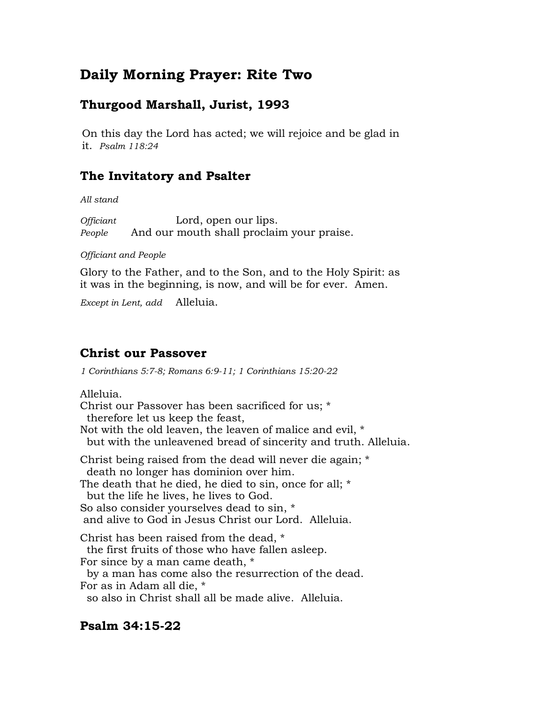# **Daily Morning Prayer: Rite Two**

# **Thurgood Marshall, Jurist, 1993**

On this day the Lord has acted; we will rejoice and be glad in it. *Psalm 118:24*

# **The Invitatory and Psalter**

*All stand*

*Officiant* Lord, open our lips. *People* And our mouth shall proclaim your praise.

#### *Officiant and People*

Glory to the Father, and to the Son, and to the Holy Spirit: as it was in the beginning, is now, and will be for ever. Amen.

*Except in Lent, add* Alleluia.

# **Christ our Passover**

*1 Corinthians 5:7-8; Romans 6:9-11; 1 Corinthians 15:20-22*

Alleluia.

Christ our Passover has been sacrificed for us; \* therefore let us keep the feast, Not with the old leaven, the leaven of malice and evil, \* but with the unleavened bread of sincerity and truth. Alleluia. Christ being raised from the dead will never die again; \* death no longer has dominion over him. The death that he died, he died to sin, once for all; \* but the life he lives, he lives to God. So also consider yourselves dead to sin, \* and alive to God in Jesus Christ our Lord. Alleluia. Christ has been raised from the dead, \* the first fruits of those who have fallen asleep. For since by a man came death, \* by a man has come also the resurrection of the dead. For as in Adam all die, \* so also in Christ shall all be made alive. Alleluia.

## **Psalm 34:15-22**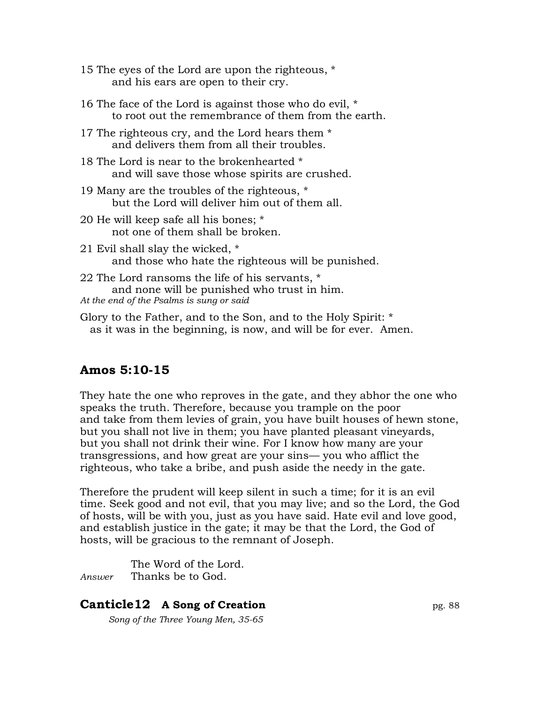- 15 The eyes of the Lord are upon the righteous, \* and his ears are open to their cry.
- 16 The face of the Lord is against those who do evil, \* to root out the remembrance of them from the earth.
- 17 The righteous cry, and the Lord hears them \* and delivers them from all their troubles.
- 18 The Lord is near to the brokenhearted \* and will save those whose spirits are crushed.
- 19 Many are the troubles of the righteous, \* but the Lord will deliver him out of them all.
- 20 He will keep safe all his bones; \* not one of them shall be broken.
- 21 Evil shall slay the wicked, \* and those who hate the righteous will be punished.
- 22 The Lord ransoms the life of his servants, \* and none will be punished who trust in him. *At the end of the Psalms is sung or said*
- Glory to the Father, and to the Son, and to the Holy Spirit: \* as it was in the beginning, is now, and will be for ever. Amen.

# **Amos 5:10-15**

They hate the one who reproves in the gate, and they abhor the one who speaks the truth. Therefore, because you trample on the poor and take from them levies of grain, you have built houses of hewn stone, but you shall not live in them; you have planted pleasant vineyards, but you shall not drink their wine. For I know how many are your transgressions, and how great are your sins— you who afflict the righteous, who take a bribe, and push aside the needy in the gate.

Therefore the prudent will keep silent in such a time; for it is an evil time. Seek good and not evil, that you may live; and so the Lord, the God of hosts, will be with you, just as you have said. Hate evil and love good, and establish justice in the gate; it may be that the Lord, the God of hosts, will be gracious to the remnant of Joseph.

The Word of the Lord. *Answer* Thanks be to God.

# **Canticle12 A Song of Creation** pg. 88

 *Song of the Three Young Men, 35-65*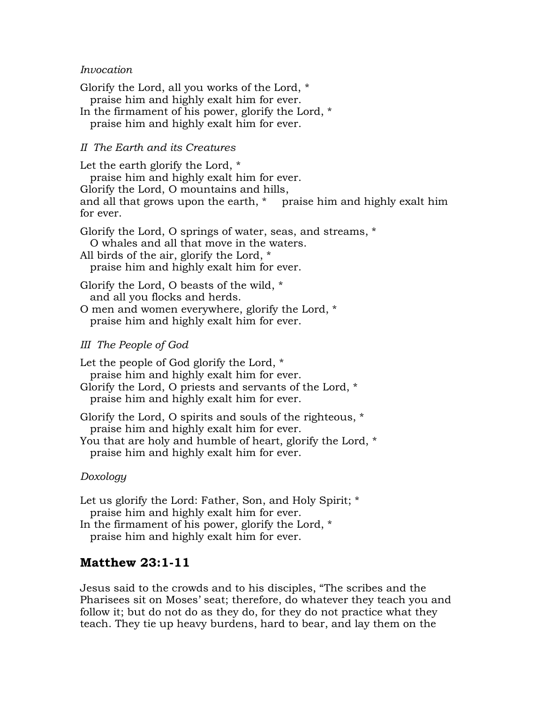#### *Invocation*

Glorify the Lord, all you works of the Lord, \* praise him and highly exalt him for ever. In the firmament of his power, glorify the Lord, \* praise him and highly exalt him for ever.

#### *II The Earth and its Creatures*

Let the earth glorify the Lord, \* praise him and highly exalt him for ever. Glorify the Lord, O mountains and hills, and all that grows upon the earth, \* praise him and highly exalt him for ever. Glorify the Lord, O springs of water, seas, and streams, \* O whales and all that move in the waters. All birds of the air, glorify the Lord, \* praise him and highly exalt him for ever. Glorify the Lord, O beasts of the wild, \* and all you flocks and herds.

O men and women everywhere, glorify the Lord, \* praise him and highly exalt him for ever.

#### *III The People of God*

Let the people of God glorify the Lord, \* praise him and highly exalt him for ever. Glorify the Lord, O priests and servants of the Lord, \* praise him and highly exalt him for ever. Glorify the Lord, O spirits and souls of the righteous, \*

praise him and highly exalt him for ever.

You that are holy and humble of heart, glorify the Lord, \* praise him and highly exalt him for ever.

#### *Doxology*

Let us glorify the Lord: Father, Son, and Holy Spirit;  $*$  praise him and highly exalt him for ever. In the firmament of his power, glorify the Lord, \* praise him and highly exalt him for ever.

## **Matthew 23:1-11**

Jesus said to the crowds and to his disciples, "The scribes and the Pharisees sit on Moses' seat; therefore, do whatever they teach you and follow it; but do not do as they do, for they do not practice what they teach. They tie up heavy burdens, hard to bear, and lay them on the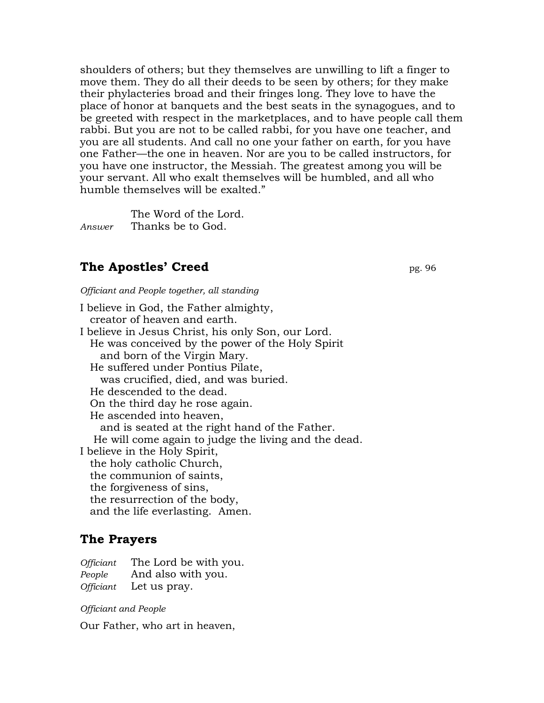shoulders of others; but they themselves are unwilling to lift a finger to move them. They do all their deeds to be seen by others; for they make their phylacteries broad and their fringes long. They love to have the place of honor at banquets and the best seats in the synagogues, and to be greeted with respect in the marketplaces, and to have people call them rabbi. But you are not to be called rabbi, for you have one teacher, and you are all students. And call no one your father on earth, for you have one Father—the one in heaven. Nor are you to be called instructors, for you have one instructor, the Messiah. The greatest among you will be your servant. All who exalt themselves will be humbled, and all who humble themselves will be exalted."

The Word of the Lord. *Answer* Thanks be to God.

# **The Apostles' Creed** pg. 96

*Officiant and People together, all standing*

I believe in God, the Father almighty, creator of heaven and earth. I believe in Jesus Christ, his only Son, our Lord. He was conceived by the power of the Holy Spirit and born of the Virgin Mary. He suffered under Pontius Pilate, was crucified, died, and was buried. He descended to the dead. On the third day he rose again. He ascended into heaven, and is seated at the right hand of the Father. He will come again to judge the living and the dead. I believe in the Holy Spirit, the holy catholic Church, the communion of saints, the forgiveness of sins, the resurrection of the body, and the life everlasting. Amen.

## **The Prayers**

*Officiant* The Lord be with you. *People* And also with you. *Officiant* Let us pray.

#### *Officiant and People*

Our Father, who art in heaven,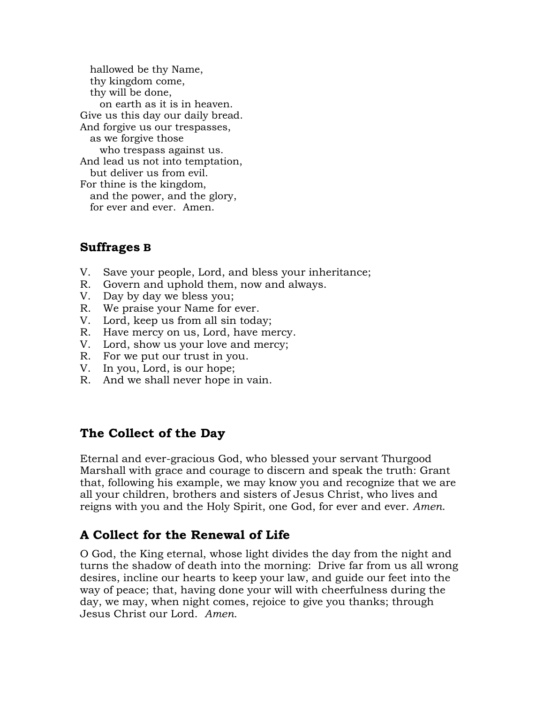hallowed be thy Name, thy kingdom come, thy will be done, on earth as it is in heaven. Give us this day our daily bread. And forgive us our trespasses, as we forgive those who trespass against us. And lead us not into temptation, but deliver us from evil. For thine is the kingdom, and the power, and the glory, for ever and ever. Amen.

## **Suffrages B**

- V. Save your people, Lord, and bless your inheritance;
- R. Govern and uphold them, now and always.
- V. Day by day we bless you;
- R. We praise your Name for ever.
- V. Lord, keep us from all sin today;
- R. Have mercy on us, Lord, have mercy.
- V. Lord, show us your love and mercy;
- R. For we put our trust in you.
- V. In you, Lord, is our hope;
- R. And we shall never hope in vain.

## **The Collect of the Day**

Eternal and ever-gracious God, who blessed your servant Thurgood Marshall with grace and courage to discern and speak the truth: Grant that, following his example, we may know you and recognize that we are all your children, brothers and sisters of Jesus Christ, who lives and reigns with you and the Holy Spirit, one God, for ever and ever. *Amen*.

# **A Collect for the Renewal of Life**

O God, the King eternal, whose light divides the day from the night and turns the shadow of death into the morning: Drive far from us all wrong desires, incline our hearts to keep your law, and guide our feet into the way of peace; that, having done your will with cheerfulness during the day, we may, when night comes, rejoice to give you thanks; through Jesus Christ our Lord. *Amen.*